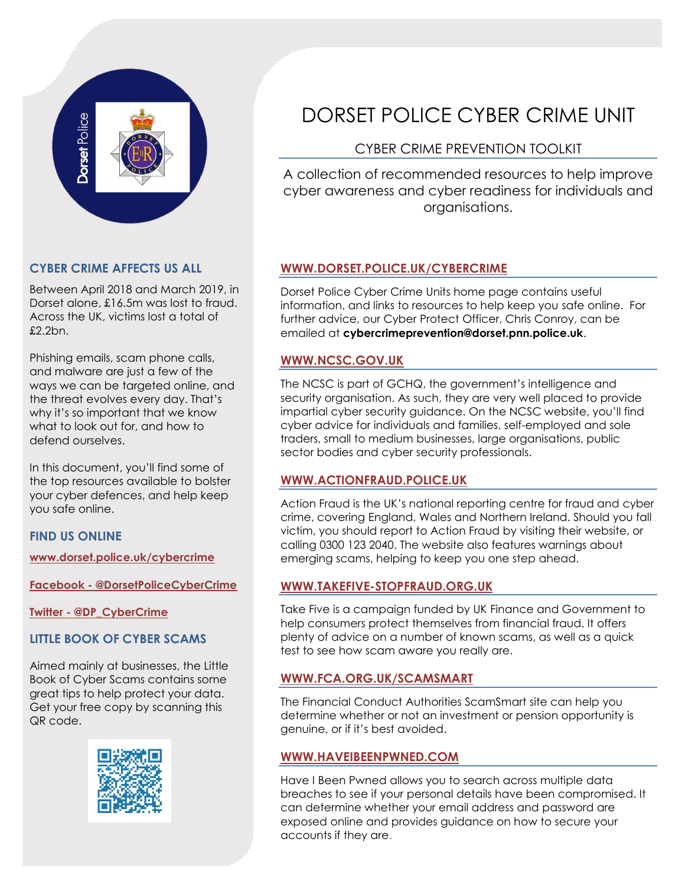

## **CYBER CRIME AFFECTS US ALL**

Between April 2018 and March 2019, in Dorset alone, £16.5m was lost to fraud. Across the UK, victims lost a total of £2.2bn.

Phishing emails, scam phone calls, and malware are just a few of the ways we can be targeted online, and the threat evolves every day. That's why it's so important that we know what to look out for, and how to defend ourselves.

In this document, you'll find some of the top resources available to bolster your cyber defences, and help keep you safe online.

## **FIND US ONLINE**

**[www.dorset.police.uk/cybercrime](http://www.dorset.police.uk/cybercrime)**

**Facebook - [@DorsetPoliceCyberCrime](http://www.facebook.com/DorsetPoliceCyberCrime)**

**Twitter - [@DP\\_CyberCrime](http://www.twitter.com/DP_CyberCrime)**

## **LITTLE BOOK OF CYBER SCAMS**

Aimed mainly at businesses, the Little Book of Cyber Scams contains some great tips to help protect your data. Get your free copy by scanning this QR code.



# DORSET POLICE CYBER CRIME UNIT

# CYBER CRIME PREVENTION TOOLKIT

A collection of recommended resources to help improve cyber awareness and cyber readiness for individuals and organisations.

## **[WWW.DORSET.POLICE.UK/CYBERCRIME](http://www.dorset.police.uk/cybercrime)**

Dorset Police Cyber Crime Units home page contains useful information, and links to resources to help keep you safe online. For further advice, our Cyber Protect Officer, Chris Conroy, can be emailed at **cybercrimeprevention@dorset.pnn.police.uk**.

#### **[WWW.NCSC.GOV.UK](http://www.ncsc.gov.uk/)**

The NCSC is part of GCHQ, the government's intelligence and security organisation. As such, they are very well placed to provide impartial cyber security guidance. On the NCSC website, you'll find cyber advice for individuals and families, self-employed and sole traders, small to medium businesses, large organisations, public sector bodies and cyber security professionals.

#### **[WWW.ACTIONFRAUD.POLICE.UK](http://www.actionfraud.police.uk/)**

Action Fraud is the UK's national reporting centre for fraud and cyber crime, covering England, Wales and Northern Ireland. Should you fall victim, you should report to Action Fraud by visiting their website, or calling 0300 123 2040. The website also features warnings about emerging scams, helping to keep you one step ahead.

## **[WWW.TAKEFIVE-STOPFRAUD.ORG.UK](http://www.takefive-stopfraud.org.uk/)**

Take Five is a campaign funded by UK Finance and Government to help consumers protect themselves from financial fraud. It offers plenty of advice on a number of known scams, as well as a quick test to see how scam aware you really are.

#### **[WWW.FCA.ORG.UK/SCAMSMART](http://www.fca.org.uk/scamsmart)**

The Financial Conduct Authorities ScamSmart site can help you determine whether or not an investment or pension opportunity is genuine, or if it's best avoided.

#### **[WWW.HAVEIBEENPWNED.COM](http://www.haveibeenpwned.com/)**

Have I Been Pwned allows you to search across multiple data breaches to see if your personal details have been compromised. It can determine whether your email address and password are exposed online and provides guidance on how to secure your accounts if they are.